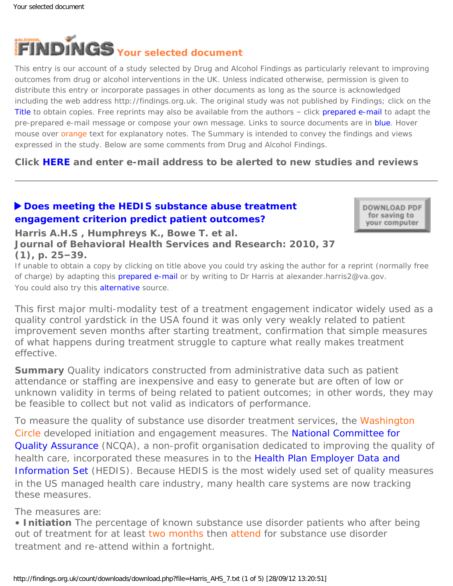<span id="page-0-0"></span>

This entry is our account of a study selected by Drug and Alcohol Findings as particularly relevant to improving outcomes from drug or alcohol interventions in the UK. Unless indicated otherwise, permission is given to distribute this entry or incorporate passages in other documents as long as the source is acknowledged including the web address http://findings.org.uk. The original study was not published by Findings; click on the Title to obtain copies. Free reprints may also be available from the authors – click prepared e-mail to adapt the pre-prepared e-mail message or compose your own message. Links to source documents are in blue. Hover mouse over orange text for explanatory notes. The Summary is intended to convey the findings and views expressed in the study. Below are some comments from Drug and Alcohol Findings.

**Click [HERE](https://findings.org.uk/index.php#signUp) and enter e-mail address to be alerted to new studies and reviews**

# ▶ [Does meeting the HEDIS substance abuse treatment](http://dx.doi.org/10.1007/s11414-008-9142-2) **[engagement criterion predict patient outcomes?](http://dx.doi.org/10.1007/s11414-008-9142-2)**

DOWNLOAD PDF for saving to your computer

**Harris A.H.S , Humphreys K., Bowe T. et al. Journal of Behavioral Health Services and Research: 2010, 37 (1), p. 25–39.**

If unable to obtain a copy by clicking on title above you could try asking the author for a reprint (normally free of charge) by adapting this [prepared e-mail](mailto:alexander.harris2@va.gov?Subject=Reprint%20request&body=Dear Dr Harris%0A%0AOn the Drug and Alcohol Findings web site (https://findings.org.uk) I read about your article:%0AHarris A.H.S , Humphreys K., Bowe T. et al. Does meeting the HEDIS substance abuse treatment engagement criterion predict patient outcomes? Journal of Behavioral Health Services and Research: 2010, 37(1), p. 25-39.%0A%0AWould it be possible to for me to be sent a PDF reprint or the manuscript by replying to this e-mail?%0A) or by writing to Dr Harris at alexander.harris2@va.gov. You could also try this [alternative](http://www.chce.research.va.gov/docs/pdfs/pi_publications/Tiet/22_2010_Harris_etc_Tiet_HEDIS_SUD_TxEngagementOutcomes_JHebHlthServRes.pdf) source.

*This first major multi-modality test of a treatment engagement indicator widely used as a quality control yardstick in the USA found it was only very weakly related to patient improvement seven months after starting treatment, confirmation that simple measures of what happens during treatment struggle to capture what really makes treatment effective.*

**Summary** Quality indicators constructed from administrative data such as patient attendance or staffing are inexpensive and easy to generate but are often of low or unknown validity in terms of being related to patient outcomes; in other words, they may be feasible to collect but not valid as indicators of performance.

To measure the quality of substance use disorder treatment services, the Washington [Circle](#page-0-0) developed initiation and engagement measures. The [National Committee for](http://www.ncqa.org/)  [Quality Assurance](http://www.ncqa.org/) (NCQA), a non-profit organisation dedicated to improving the quality of health care, incorporated these measures in to the Health Plan Employer Data and [Information Set](http://www.ncqa.org/HEDISQualityMeasurement.aspx) (HEDIS). Because HEDIS is the most widely used set of quality measures in the US managed health care industry, many health care systems are now tracking these measures.

The measures are:

• **Initiation** The percentage of known substance use disorder patients who after being out of treatment for at least [two months](#page-0-0) then [attend](#page-0-0) for substance use disorder treatment *and* re-attend within a fortnight.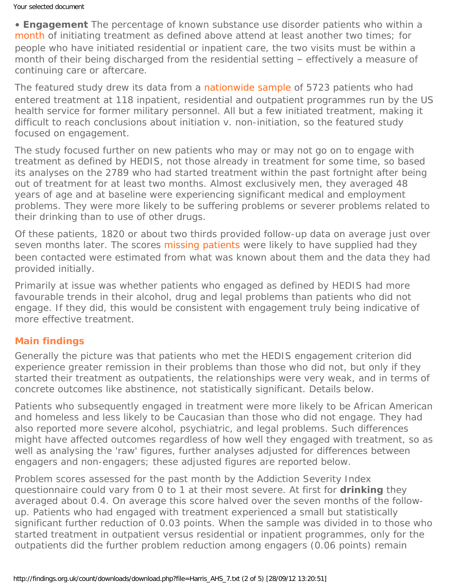• **Engagement** The percentage of known substance use disorder patients who within a [month](#page-0-0) of initiating treatment as defined above attend at least another two times; for people who have initiated residential or inpatient care, the two visits must be within a month of their being discharged from the residential setting – effectively a measure of continuing care or aftercare.

The featured study drew its data from a [nationwide sample](#page-0-0) of 5723 patients who had entered treatment at 118 inpatient, residential and outpatient programmes run by the US health service for former military personnel. All but a few initiated treatment, making it difficult to reach conclusions about initiation v. non-initiation, so the featured study focused on engagement.

The study focused further on new patients who may or may not go on to engage with treatment as defined by HEDIS, not those already in treatment for some time, so based its analyses on the 2789 who had started treatment within the past fortnight after being out of treatment for at least two months. Almost exclusively men, they averaged 48 years of age and at baseline were experiencing significant medical and employment problems. They were more likely to be suffering problems or severer problems related to their drinking than to use of other drugs.

Of these patients, 1820 or about two thirds provided follow-up data on average just over seven months later. The scores [missing patients](#page-0-0) were likely to have supplied had they been contacted were estimated from what was known about them and the data they had provided initially.

Primarily at issue was whether patients who engaged as defined by HEDIS had more favourable trends in their alcohol, drug and legal problems than patients who did not engage. If they did, this would be consistent with engagement truly being indicative of more effective treatment.

## **Main findings**

Generally the picture was that patients who met the HEDIS engagement criterion did experience greater remission in their problems than those who did not, but only if they started their treatment as outpatients, the relationships were very weak, and in terms of concrete outcomes like abstinence, not statistically significant. Details below.

Patients who subsequently engaged in treatment were more likely to be African American and homeless and less likely to be Caucasian than those who did not engage. They had also reported more severe alcohol, psychiatric, and legal problems. Such differences might have affected outcomes regardless of how well they engaged with treatment, so as well as analysing the 'raw' figures, further analyses adjusted for differences between engagers and non-engagers; these adjusted figures are reported below.

Problem scores assessed for the past month by the Addiction Severity Index questionnaire could vary from 0 to 1 at their most severe. At first for **drinking** they averaged about 0.4. On average this score halved over the seven months of the followup. Patients who had engaged with treatment experienced a small but statistically significant further reduction of 0.03 points. When the sample was divided in to those who started treatment in outpatient versus residential or inpatient programmes, only for the outpatients did the further problem reduction among engagers (0.06 points) remain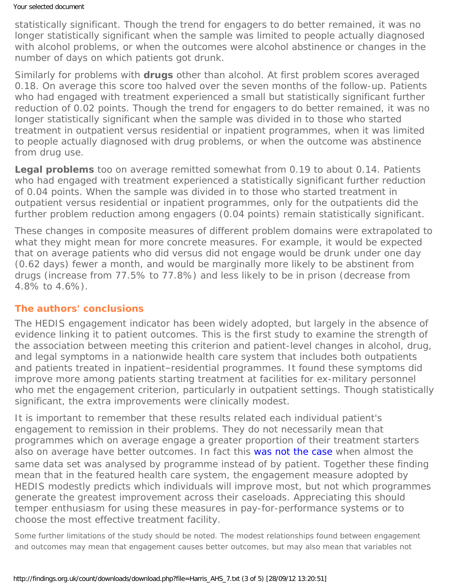### Your selected document

statistically significant. Though the trend for engagers to do better remained, it was no longer statistically significant when the sample was limited to people actually diagnosed with alcohol problems, or when the outcomes were alcohol abstinence or changes in the number of days on which patients got drunk.

Similarly for problems with **drugs** other than alcohol. At first problem scores averaged 0.18. On average this score too halved over the seven months of the follow-up. Patients who had engaged with treatment experienced a small but statistically significant further reduction of 0.02 points. Though the trend for engagers to do better remained, it was no longer statistically significant when the sample was divided in to those who started treatment in outpatient versus residential or inpatient programmes, when it was limited to people actually diagnosed with drug problems, or when the outcome was abstinence from drug use.

**Legal problems** too on average remitted somewhat from 0.19 to about 0.14. Patients who had engaged with treatment experienced a statistically significant further reduction of 0.04 points. When the sample was divided in to those who started treatment in outpatient versus residential or inpatient programmes, only for the outpatients did the further problem reduction among engagers (0.04 points) remain statistically significant.

These changes in composite measures of different problem domains were extrapolated to what they might mean for more concrete measures. For example, it would be expected that on average patients who did versus did not engage would be drunk under one day (0.62 days) fewer a month, and would be marginally more likely to be abstinent from drugs (increase from 77.5% to 77.8%) and less likely to be in prison (decrease from 4.8% to 4.6%).

## **The authors' conclusions**

The HEDIS engagement indicator has been widely adopted, but largely in the absence of evidence linking it to patient outcomes. This is the first study to examine the strength of the association between meeting this criterion and patient-level changes in alcohol, drug, and legal symptoms in a nationwide health care system that includes both outpatients and patients treated in inpatient–residential programmes. It found these symptoms did improve more among patients starting treatment at facilities for ex-military personnel who met the engagement criterion, particularly in outpatient settings. Though statistically significant, the extra improvements were clinically modest.

It is important to remember that these results related each individual patient's engagement to remission in their problems. They do not necessarily mean that programmes which on average engage a greater proportion of their treatment starters also on average have better outcomes. In fact this [was not the case](http://dx.doi.org/10.1016/j.jsat.2006.12.015) when almost the same data set was analysed by programme instead of by patient. Together these finding mean that in the featured health care system, the engagement measure adopted by HEDIS modestly predicts which individuals will improve most, but not which programmes generate the greatest improvement across their caseloads. Appreciating this should temper enthusiasm for using these measures in pay-for-performance systems or to choose the most effective treatment facility.

Some further limitations of the study should be noted. The modest relationships found between engagement and outcomes may mean that engagement causes better outcomes, but may also mean that variables not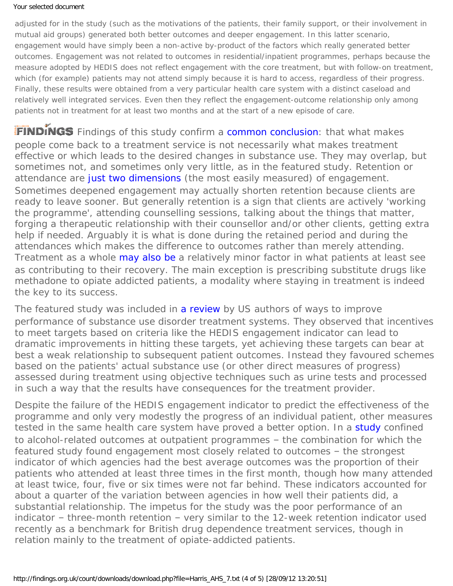### Your selected document

adjusted for in the study (such as the motivations of the patients, their family support, or their involvement in mutual aid groups) generated both better outcomes and deeper engagement. In this latter scenario, engagement would have simply been a non-active by-product of the factors which really generated better outcomes. Engagement was not related to outcomes in residential/inpatient programmes, perhaps because the measure adopted by HEDIS does not reflect engagement with the core treatment, but with follow-on treatment, which (for example) patients may not attend simply because it is hard to access, regardless of their progress. Finally, these results were obtained from a very particular health care system with a distinct caseload and relatively well integrated services. Even then they reflect the engagement-outcome relationship only among patients not in treatment for at least two months and at the start of a new episode of care.

FINDINGS Findings of this study confirm a [common conclusion:](http://dx.doi.org/10.1080/10826080802525967) that what makes people come back to a treatment service is not necessarily what makes treatment effective or which leads to the desired changes in substance use. They may overlap, but sometimes not, and sometimes only very little, as in the featured study. Retention or attendance are [just two dimensions](https://findings.org.uk/count/downloads/download.php?file=nug_10_1_back.pdf) (the most easily measured) of engagement. Sometimes deepened engagement may actually shorten retention because clients are ready to leave sooner. But generally retention is a sign that clients are actively 'working the programme', attending counselling sessions, talking about the things that matter, forging a therapeutic relationship with their counsellor and/or other clients, getting extra help if needed. Arguably it is what is done during the retained period and during the attendances which makes the difference to outcomes rather than merely attending. Treatment as a whole [may also be](https://findings.org.uk/count/downloads/download.php?file=UKATT.nug) a relatively minor factor in what patients at least see as contributing to their recovery. The main exception is prescribing substitute drugs like methadone to opiate addicted patients, a modality where staying in treatment is indeed the key to its success.

The featured study was included in [a review](https://findings.org.uk/count/downloads/download.php?file=Humphreys_K_27.txt) by US authors of ways to improve performance of substance use disorder treatment systems. They observed that incentives to meet targets based on criteria like the HEDIS engagement indicator can lead to dramatic improvements in hitting these targets, yet achieving these targets can bear at best a weak relationship to subsequent patient outcomes. Instead they favoured schemes based on the patients' actual substance use (or other direct measures of progress) assessed during treatment using objective techniques such as urine tests and processed in such a way that the results have consequences for the treatment provider.

Despite the failure of the HEDIS engagement indicator to predict the effectiveness of the programme and only very modestly the progress of an individual patient, other measures tested in the same health care system have proved a better option. In a [study](https://findings.org.uk/count/downloads/download.php?file=Harris_AHS_6.cab) confined to alcohol-related outcomes at outpatient programmes – the combination for which the featured study found engagement most closely related to outcomes – the strongest indicator of which agencies had the best average outcomes was the proportion of their patients who attended at least three times in the first month, though how many attended at least twice, four, five or six times were not far behind. These indicators accounted for about a quarter of the variation between agencies in how well their patients did, a substantial relationship. The impetus for the study was the poor performance of an indicator – three-month retention – very similar to the 12-week retention indicator used recently as a benchmark for British drug dependence treatment services, though in relation mainly to the treatment of opiate-addicted patients.